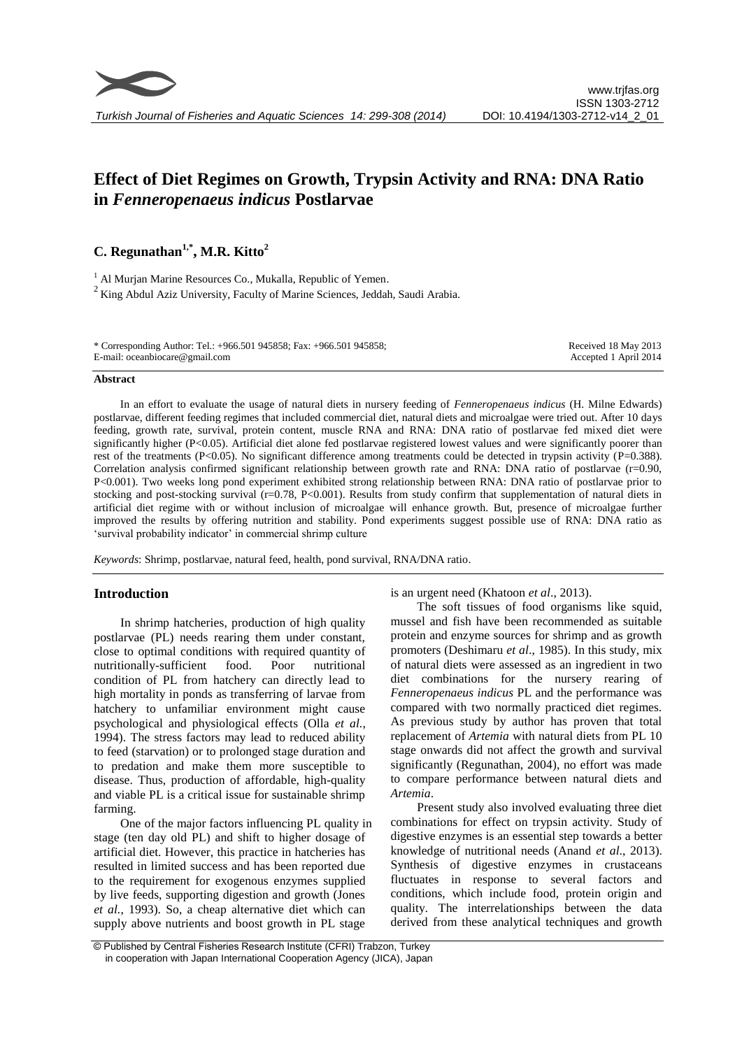

# **Effect of Diet Regimes on Growth, Trypsin Activity and RNA: DNA Ratio in** *Fenneropenaeus indicus* **Postlarvae**

# **C. Regunathan1,\* , M.R. Kitto<sup>2</sup>**

<sup>1</sup> Al Murjan Marine Resources Co., Mukalla, Republic of Yemen.  $2$  King Abdul Aziz University, Faculty of Marine Sciences, Jeddah, Saudi Arabia.

| * Corresponding Author: Tel.: +966.501 945858; Fax: +966.501 945858; | Received 18 May 2013  |
|----------------------------------------------------------------------|-----------------------|
| E-mail: oceanbiocare@gmail.com                                       | Accepted 1 April 2014 |

#### **Abstract**

In an effort to evaluate the usage of natural diets in nursery feeding of *Fenneropenaeus indicus* (H. Milne Edwards) postlarvae, different feeding regimes that included commercial diet, natural diets and microalgae were tried out. After 10 days feeding, growth rate, survival, protein content, muscle RNA and RNA: DNA ratio of postlarvae fed mixed diet were significantly higher (P<0.05). Artificial diet alone fed postlarvae registered lowest values and were significantly poorer than rest of the treatments (P<0.05). No significant difference among treatments could be detected in trypsin activity (P=0.388). Correlation analysis confirmed significant relationship between growth rate and RNA: DNA ratio of postlarvae (r=0.90, P<0.001). Two weeks long pond experiment exhibited strong relationship between RNA: DNA ratio of postlarvae prior to stocking and post-stocking survival (r=0.78, P<0.001). Results from study confirm that supplementation of natural diets in artificial diet regime with or without inclusion of microalgae will enhance growth. But, presence of microalgae further improved the results by offering nutrition and stability. Pond experiments suggest possible use of RNA: DNA ratio as 'survival probability indicator' in commercial shrimp culture

*Keywords*: Shrimp*,* postlarvae*,* natural feed, health, pond survival, RNA/DNA ratio.

# **Introduction**

In shrimp hatcheries, production of high quality postlarvae (PL) needs rearing them under constant, close to optimal conditions with required quantity of nutritionally-sufficient food. Poor nutritional condition of PL from hatchery can directly lead to high mortality in ponds as transferring of larvae from hatchery to unfamiliar environment might cause psychological and physiological effects (Olla *et al.*, 1994). The stress factors may lead to reduced ability to feed (starvation) or to prolonged stage duration and to predation and make them more susceptible to disease. Thus, production of affordable, high-quality and viable PL is a critical issue for sustainable shrimp farming.

One of the major factors influencing PL quality in stage (ten day old PL) and shift to higher dosage of artificial diet. However, this practice in hatcheries has resulted in limited success and has been reported due to the requirement for exogenous enzymes supplied by live feeds, supporting digestion and growth (Jones *et al.*, 1993). So, a cheap alternative diet which can supply above nutrients and boost growth in PL stage

is an urgent need (Khatoon *et al*., 2013).

The soft tissues of food organisms like squid, mussel and fish have been recommended as suitable protein and enzyme sources for shrimp and as growth promoters (Deshimaru *et al*., 1985). In this study, mix of natural diets were assessed as an ingredient in two diet combinations for the nursery rearing of *Fenneropenaeus indicus* PL and the performance was compared with two normally practiced diet regimes. As previous study by author has proven that total replacement of *Artemia* with natural diets from PL 10 stage onwards did not affect the growth and survival significantly (Regunathan, 2004), no effort was made to compare performance between natural diets and *Artemia*.

Present study also involved evaluating three diet combinations for effect on trypsin activity. Study of digestive enzymes is an essential step towards a better knowledge of nutritional needs (Anand *et al*., 2013). Synthesis of digestive enzymes in crustaceans fluctuates in response to several factors and conditions, which include food, protein origin and quality. The interrelationships between the data derived from these analytical techniques and growth

<sup>©</sup> Published by Central Fisheries Research Institute (CFRI) Trabzon, Turkey in cooperation with Japan International Cooperation Agency (JICA), Japan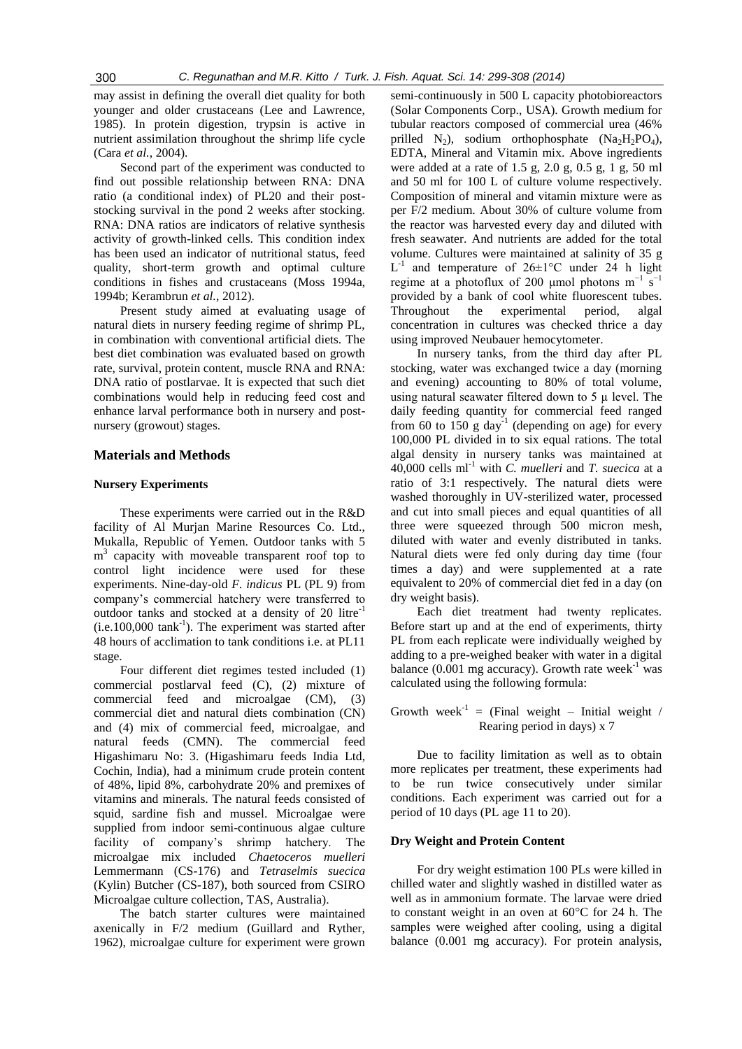may assist in defining the overall diet quality for both younger and older crustaceans (Lee and Lawrence, 1985). In protein digestion, trypsin is active in nutrient assimilation throughout the shrimp life cycle (Cara *et al.*, 2004).

Second part of the experiment was conducted to find out possible relationship between RNA: DNA ratio (a conditional index) of PL20 and their poststocking survival in the pond 2 weeks after stocking. RNA: DNA ratios are indicators of relative synthesis activity of growth-linked cells. This condition index has been used an indicator of nutritional status, feed quality, short-term growth and optimal culture conditions in fishes and crustaceans (Moss 1994a, 1994b; Kerambrun *et al.*, 2012).

Present study aimed at evaluating usage of natural diets in nursery feeding regime of shrimp PL, in combination with conventional artificial diets. The best diet combination was evaluated based on growth rate, survival, protein content, muscle RNA and RNA: DNA ratio of postlarvae. It is expected that such diet combinations would help in reducing feed cost and enhance larval performance both in nursery and postnursery (growout) stages.

# **Materials and Methods**

# **Nursery Experiments**

These experiments were carried out in the R&D facility of Al Murjan Marine Resources Co. Ltd., Mukalla, Republic of Yemen. Outdoor tanks with 5 m<sup>3</sup> capacity with moveable transparent roof top to control light incidence were used for these experiments. Nine-day-old *F. indicus* PL (PL 9) from company's commercial hatchery were transferred to outdoor tanks and stocked at a density of 20 litre<sup>-1</sup>  $(i.e. 100,000$  tank<sup>-1</sup>). The experiment was started after 48 hours of acclimation to tank conditions i.e. at PL11 stage.

Four different diet regimes tested included (1) commercial postlarval feed (C), (2) mixture of commercial feed and microalgae (CM), (3) commercial diet and natural diets combination (CN) and (4) mix of commercial feed, microalgae, and natural feeds (CMN). The commercial feed Higashimaru No: 3. (Higashimaru feeds India Ltd, Cochin, India), had a minimum crude protein content of 48%, lipid 8%, carbohydrate 20% and premixes of vitamins and minerals. The natural feeds consisted of squid, sardine fish and mussel. Microalgae were supplied from indoor semi-continuous algae culture facility of company's shrimp hatchery. The microalgae mix included *Chaetoceros muelleri*  Lemmermann (CS-176) and *Tetraselmis suecica*  (Kylin) Butcher (CS-187), both sourced from CSIRO Microalgae culture collection, TAS, Australia).

The batch starter cultures were maintained axenically in F/2 medium (Guillard and Ryther, 1962), microalgae culture for experiment were grown

semi-continuously in 500 L capacity photobioreactors (Solar Components Corp., USA). Growth medium for tubular reactors composed of commercial urea (46% prilled  $N_2$ ), sodium orthophosphate (Na<sub>2</sub>H<sub>2</sub>PO<sub>4</sub>), EDTA, Mineral and Vitamin mix. Above ingredients were added at a rate of 1.5 g, 2.0 g, 0.5 g, 1 g, 50 ml and 50 ml for 100 L of culture volume respectively. Composition of mineral and vitamin mixture were as per F/2 medium. About 30% of culture volume from the reactor was harvested every day and diluted with fresh seawater. And nutrients are added for the total volume. Cultures were maintained at salinity of 35 g  $L^{-1}$  and temperature of 26±1°C under 24 h light regime at a photoflux of 200 µmol photons  $m^{-1}$  s<sup>-1</sup> provided by a bank of cool white fluorescent tubes. Throughout the experimental period, algal concentration in cultures was checked thrice a day using improved Neubauer hemocytometer.

In nursery tanks, from the third day after PL stocking, water was exchanged twice a day (morning and evening) accounting to 80% of total volume, using natural seawater filtered down to  $5 \mu$  level. The daily feeding quantity for commercial feed ranged from 60 to  $150 \text{ g day}^{-1}$  (depending on age) for every 100,000 PL divided in to six equal rations. The total algal density in nursery tanks was maintained at 40,000 cells ml-1 with *C. muelleri* and *T. suecica* at a ratio of 3:1 respectively. The natural diets were washed thoroughly in UV-sterilized water, processed and cut into small pieces and equal quantities of all three were squeezed through 500 micron mesh, diluted with water and evenly distributed in tanks. Natural diets were fed only during day time (four times a day) and were supplemented at a rate equivalent to 20% of commercial diet fed in a day (on dry weight basis).

Each diet treatment had twenty replicates. Before start up and at the end of experiments, thirty PL from each replicate were individually weighed by adding to a pre-weighed beaker with water in a digital balance  $(0.001 \text{ mg accuracy})$ . Growth rate week<sup>-1</sup> was calculated using the following formula:

Growth week<sup>-1</sup> = (Final weight – Initial weight / Rearing period in days) x 7

Due to facility limitation as well as to obtain more replicates per treatment, these experiments had to be run twice consecutively under similar conditions. Each experiment was carried out for a period of 10 days (PL age 11 to 20).

# **Dry Weight and Protein Content**

For dry weight estimation 100 PLs were killed in chilled water and slightly washed in distilled water as well as in ammonium formate. The larvae were dried to constant weight in an oven at 60°C for 24 h. The samples were weighed after cooling, using a digital balance (0.001 mg accuracy). For protein analysis,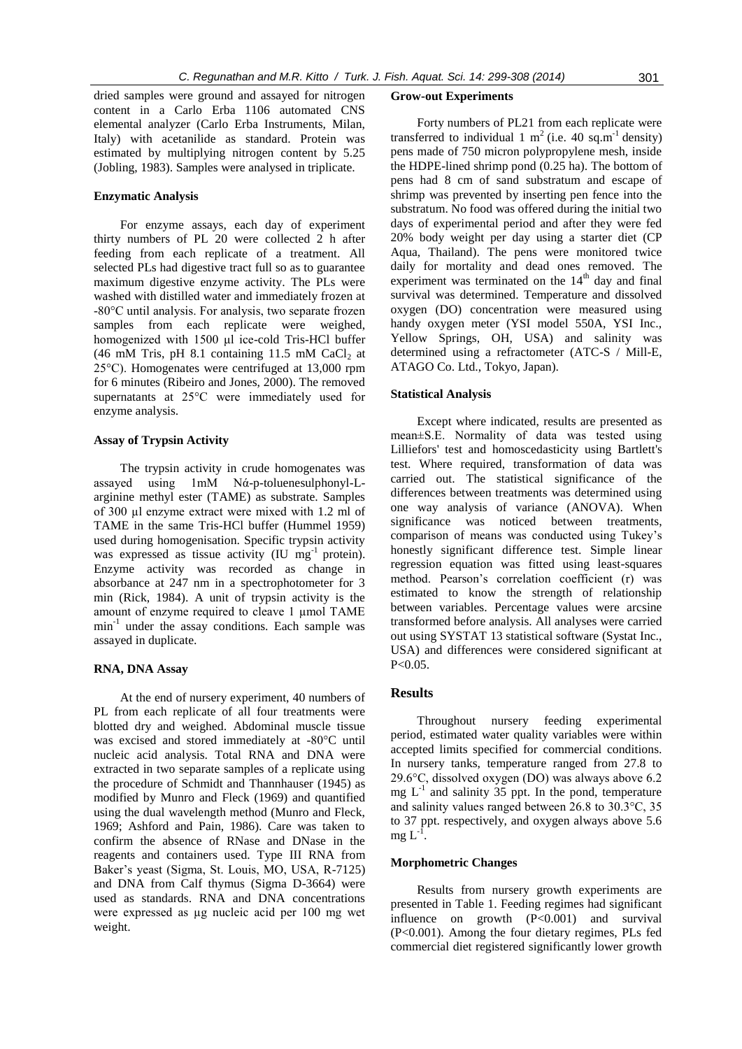dried samples were ground and assayed for nitrogen content in a Carlo Erba 1106 automated CNS elemental analyzer (Carlo Erba Instruments, Milan, Italy) with acetanilide as standard. Protein was estimated by multiplying nitrogen content by 5.25 (Jobling, 1983). Samples were analysed in triplicate.

# **Enzymatic Analysis**

For enzyme assays, each day of experiment thirty numbers of PL 20 were collected 2 h after feeding from each replicate of a treatment. All selected PLs had digestive tract full so as to guarantee maximum digestive enzyme activity. The PLs were washed with distilled water and immediately frozen at -80°C until analysis. For analysis, two separate frozen samples from each replicate were weighed, homogenized with 1500 μl ice-cold Tris-HCl buffer (46 mM Tris, pH 8.1 containing 11.5 mM CaCl<sub>2</sub> at 25°C). Homogenates were centrifuged at 13,000 rpm for 6 minutes (Ribeiro and Jones, 2000). The removed supernatants at 25°C were immediately used for enzyme analysis.

#### **Assay of Trypsin Activity**

The trypsin activity in crude homogenates was assayed using 1mM Nά-p-toluenesulphonyl-Larginine methyl ester (TAME) as substrate. Samples of 300 µl enzyme extract were mixed with 1.2 ml of TAME in the same Tris-HCl buffer (Hummel 1959) used during homogenisation. Specific trypsin activity was expressed as tissue activity  $(IU \ mg<sup>-1</sup> protein)$ . Enzyme activity was recorded as change in absorbance at 247 nm in a spectrophotometer for 3 min (Rick, 1984). A unit of trypsin activity is the amount of enzyme required to cleave 1 µmol TAME min-1 under the assay conditions. Each sample was assayed in duplicate.

# **RNA, DNA Assay**

At the end of nursery experiment, 40 numbers of PL from each replicate of all four treatments were blotted dry and weighed. Abdominal muscle tissue was excised and stored immediately at -80°C until nucleic acid analysis. Total RNA and DNA were extracted in two separate samples of a replicate using the procedure of Schmidt and Thannhauser (1945) as modified by Munro and Fleck (1969) and quantified using the dual wavelength method (Munro and Fleck, 1969; Ashford and Pain, 1986). Care was taken to confirm the absence of RNase and DNase in the reagents and containers used. Type III RNA from Baker's yeast (Sigma, St. Louis, MO, USA, R-7125) and DNA from Calf thymus (Sigma D-3664) were used as standards. RNA and DNA concentrations were expressed as µg nucleic acid per 100 mg wet weight.

#### **Grow-out Experiments**

Forty numbers of PL21 from each replicate were transferred to individual 1 m<sup>2</sup> (i.e. 40 sq.m<sup>-1</sup> density) pens made of 750 micron polypropylene mesh, inside the HDPE-lined shrimp pond (0.25 ha). The bottom of pens had 8 cm of sand substratum and escape of shrimp was prevented by inserting pen fence into the substratum. No food was offered during the initial two days of experimental period and after they were fed 20% body weight per day using a starter diet (CP Aqua, Thailand). The pens were monitored twice daily for mortality and dead ones removed. The experiment was terminated on the  $14<sup>th</sup>$  day and final survival was determined. Temperature and dissolved oxygen (DO) concentration were measured using handy oxygen meter (YSI model 550A, YSI Inc., Yellow Springs, OH, USA) and salinity was determined using a refractometer (ATC-S / Mill-E, ATAGO Co. Ltd., Tokyo, Japan).

#### **Statistical Analysis**

Except where indicated, results are presented as mean±S.E. Normality of data was tested using Lilliefors' test and homoscedasticity using Bartlett's test. Where required, transformation of data was carried out. The statistical significance of the differences between treatments was determined using one way analysis of variance (ANOVA). When significance was noticed between treatments, comparison of means was conducted using Tukey's honestly significant difference test. Simple linear regression equation was fitted using least-squares method. Pearson's correlation coefficient (r) was estimated to know the strength of relationship between variables. Percentage values were arcsine transformed before analysis. All analyses were carried out using SYSTAT 13 statistical software (Systat Inc., USA) and differences were considered significant at  $P < 0.05$ .

# **Results**

Throughout nursery feeding experimental period, estimated water quality variables were within accepted limits specified for commercial conditions. In nursery tanks, temperature ranged from 27.8 to 29.6°C, dissolved oxygen (DO) was always above 6.2 mg  $L^{-1}$  and salinity 35 ppt. In the pond, temperature and salinity values ranged between 26.8 to 30.3°C, 35 to 37 ppt. respectively, and oxygen always above 5.6  $mg L^{-1}$ .

#### **Morphometric Changes**

Results from nursery growth experiments are presented in Table 1. Feeding regimes had significant influence on growth (P<0.001) and survival (P<0.001). Among the four dietary regimes, PLs fed commercial diet registered significantly lower growth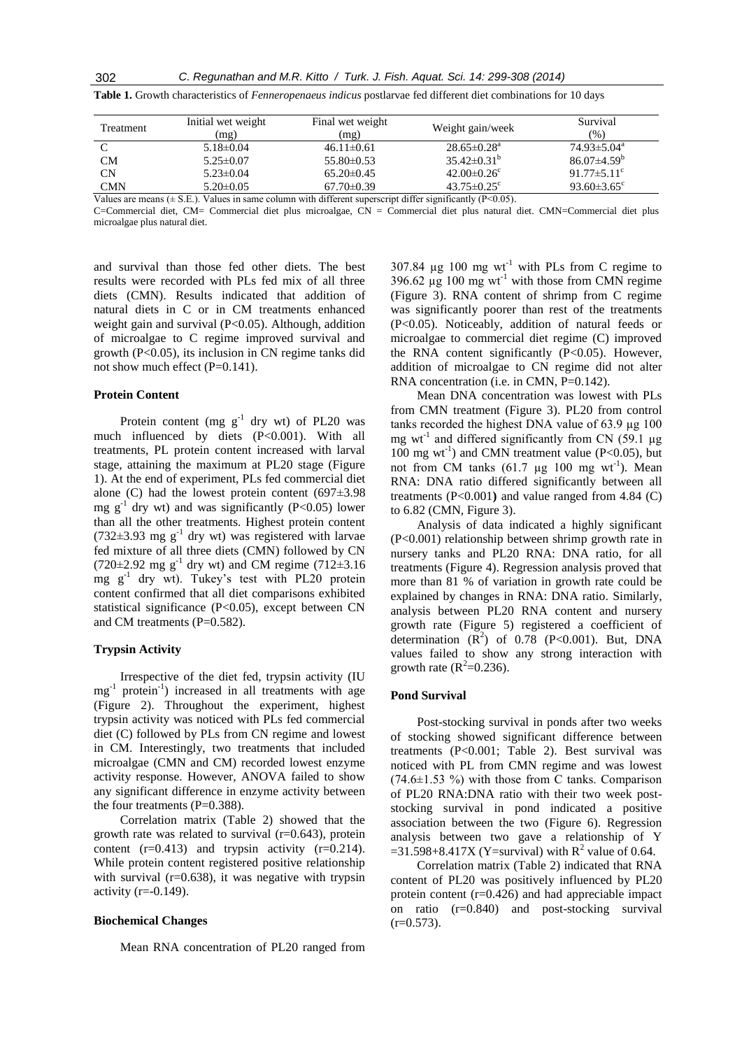| <b>Treatment</b> | Initial wet weight<br>(mg) | Final wet weight<br>(mg) | Weight gain/week              | Survival<br>(%)               |
|------------------|----------------------------|--------------------------|-------------------------------|-------------------------------|
|                  | $5.18 \pm 0.04$            | $46.11 \pm 0.61$         | $28.65 \pm 0.28$ <sup>a</sup> | $74.93 \pm 5.04^{\text{a}}$   |
| <b>CM</b>        | $5.25 \pm 0.07$            | $55.80\pm0.53$           | $35.42\pm0.31^{b}$            | $86.07\pm4.59^{\rm b}$        |
| <b>CN</b>        | $5.23 \pm 0.04$            | $65.20 \pm 0.45$         | $42.00 \pm 0.26$ <sup>c</sup> | 91.77 $\pm$ 5.11 <sup>c</sup> |
| <b>CMN</b>       | $5.20 \pm 0.05$            | $67.70 \pm 0.39$         | $43.75 \pm 0.25$ <sup>c</sup> | 93.60 $\pm$ 3.65 $\mathrm{c}$ |

**Table 1.** Growth characteristics of *Fenneropenaeus indicus* postlarvae fed different diet combinations for 10 days

Values are means ( $\pm$  S.E.). Values in same column with different superscript differ significantly ( $P$ <0.05).

C=Commercial diet, CM= Commercial diet plus microalgae, CN = Commercial diet plus natural diet. CMN=Commercial diet plus microalgae plus natural diet.

and survival than those fed other diets. The best results were recorded with PLs fed mix of all three diets (CMN). Results indicated that addition of natural diets in C or in CM treatments enhanced weight gain and survival  $(P<0.05)$ . Although, addition of microalgae to C regime improved survival and growth (P<0.05), its inclusion in CN regime tanks did not show much effect (P=0.141).

#### **Protein Content**

Protein content (mg  $g^{-1}$  dry wt) of PL20 was much influenced by diets (P<0.001). With all treatments, PL protein content increased with larval stage, attaining the maximum at PL20 stage (Figure 1). At the end of experiment, PLs fed commercial diet alone (C) had the lowest protein content  $(697±3.98$ mg  $g^{-1}$  dry wt) and was significantly (P<0.05) lower than all the other treatments. Highest protein content  $(732\pm3.93 \text{ mg g}^{-1} \text{ dry wt})$  was registered with larvae fed mixture of all three diets (CMN) followed by CN  $(720 \pm 2.92 \text{ mg g}^{-1} \text{ dry wt})$  and CM regime  $(712 \pm 3.16 \text{ m})$  $mg$   $g^{-1}$  dry wt). Tukey's test with PL20 protein content confirmed that all diet comparisons exhibited statistical significance  $(P<0.05)$ , except between CN and CM treatments (P=0.582).

# **Trypsin Activity**

Irrespective of the diet fed, trypsin activity (IU mg-1 protein-1 ) increased in all treatments with age (Figure 2). Throughout the experiment, highest trypsin activity was noticed with PLs fed commercial diet (C) followed by PLs from CN regime and lowest in CM. Interestingly, two treatments that included microalgae (CMN and CM) recorded lowest enzyme activity response. However, ANOVA failed to show any significant difference in enzyme activity between the four treatments  $(P=0.388)$ .

Correlation matrix (Table 2) showed that the growth rate was related to survival  $(r=0.643)$ , protein content  $(r=0.413)$  and trypsin activity  $(r=0.214)$ . While protein content registered positive relationship with survival  $(r=0.638)$ , it was negative with trypsin activity  $(r=0.149)$ .

#### **Biochemical Changes**

Mean RNA concentration of PL20 ranged from

307.84  $\mu$ g 100 mg wt<sup>-1</sup> with PLs from C regime to 396.62  $\mu$ g 100 mg wt<sup>-1</sup> with those from CMN regime (Figure 3). RNA content of shrimp from C regime was significantly poorer than rest of the treatments (P<0.05). Noticeably, addition of natural feeds or microalgae to commercial diet regime (C) improved the RNA content significantly  $(P<0.05)$ . However, addition of microalgae to CN regime did not alter RNA concentration (i.e. in CMN, P=0.142).

Mean DNA concentration was lowest with PLs from CMN treatment (Figure 3). PL20 from control tanks recorded the highest DNA value of 63.9 µg 100 mg wt<sup>-1</sup> and differed significantly from CN (59.1  $\mu$ g 100 mg wt<sup>-1</sup>) and CMN treatment value (P<0.05), but not from CM tanks  $(61.7 \text{ µg } 100 \text{ mg wt}^{-1})$ . Mean RNA: DNA ratio differed significantly between all treatments (P<0.001**)** and value ranged from 4.84 (C) to 6.82 (CMN, Figure 3).

Analysis of data indicated a highly significant (P<0.001) relationship between shrimp growth rate in nursery tanks and PL20 RNA: DNA ratio, for all treatments (Figure 4). Regression analysis proved that more than 81 % of variation in growth rate could be explained by changes in RNA: DNA ratio. Similarly, analysis between PL20 RNA content and nursery growth rate (Figure 5) registered a coefficient of determination  $(R^2)$  of 0.78 (P<0.001). But, DNA values failed to show any strong interaction with growth rate  $(R^2=0.236)$ .

#### **Pond Survival**

Post-stocking survival in ponds after two weeks of stocking showed significant difference between treatments (P<0.001; Table 2). Best survival was noticed with PL from CMN regime and was lowest  $(74.6\pm1.53 \%)$  with those from C tanks. Comparison of PL20 RNA:DNA ratio with their two week poststocking survival in pond indicated a positive association between the two (Figure 6). Regression analysis between two gave a relationship of Y  $=31.598+8.417X$  (Y=survival) with R<sup>2</sup> value of 0.64.

Correlation matrix (Table 2) indicated that RNA content of PL20 was positively influenced by PL20 protein content  $(r=0.426)$  and had appreciable impact on ratio (r=0.840) and post-stocking survival  $(r=0.573)$ .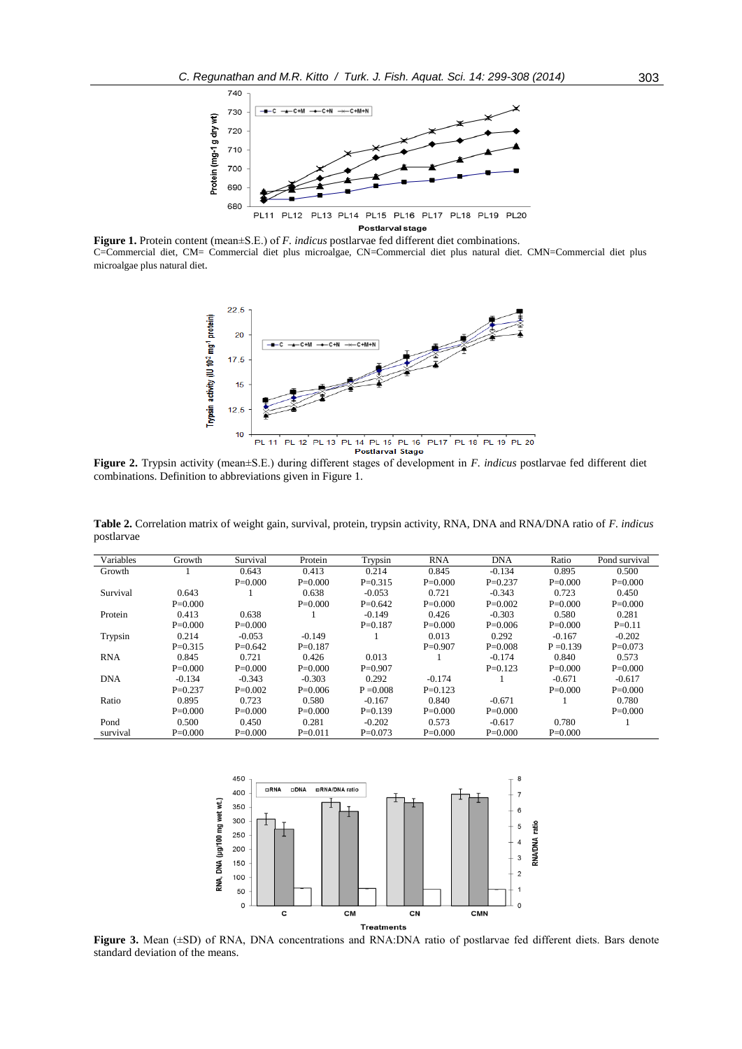

**Figure 1.** Protein content (mean±S.E.) of *F. indicus* postlarvae fed different diet combinations. C=Commercial diet, CM= Commercial diet plus microalgae, CN=Commercial diet plus natural diet. CMN=Commercial diet plus microalgae plus natural diet.



**Figure 2.** Trypsin activity (mean±S.E.) during different stages of development in *F. indicus* postlarvae fed different diet combinations. Definition to abbreviations given in Figure 1.

| Variables  | Growth    | Survival  | Protein   | Trypsin     | <b>RNA</b> | <b>DNA</b>  | Ratio       | Pond survival |
|------------|-----------|-----------|-----------|-------------|------------|-------------|-------------|---------------|
| Growth     |           | 0.643     | 0.413     | 0.214       | 0.845      | $-0.134$    | 0.895       | 0.500         |
|            |           | $P=0.000$ | $P=0.000$ | $P = 0.315$ | $P=0.000$  | $P = 0.237$ | $P=0.000$   | $P=0.000$     |
| Survival   | 0.643     |           | 0.638     | $-0.053$    | 0.721      | $-0.343$    | 0.723       | 0.450         |
|            | $P=0.000$ |           | $P=0.000$ | $P=0.642$   | $P=0.000$  | $P = 0.002$ | $P=0.000$   | $P=0.000$     |
| Protein    | 0.413     | 0.638     |           | $-0.149$    | 0.426      | $-0.303$    | 0.580       | 0.281         |
|            | $P=0.000$ | $P=0.000$ |           | $P = 0.187$ | $P=0.000$  | $P=0.006$   | $P=0.000$   | $P = 0.11$    |
| Trypsin    | 0.214     | $-0.053$  | $-0.149$  |             | 0.013      | 0.292       | $-0.167$    | $-0.202$      |
|            | $P=0.315$ | $P=0.642$ | $P=0.187$ |             | $P=0.907$  | $P = 0.008$ | $P = 0.139$ | $P=0.073$     |
| <b>RNA</b> | 0.845     | 0.721     | 0.426     | 0.013       |            | $-0.174$    | 0.840       | 0.573         |
|            | $P=0.000$ | $P=0.000$ | $P=0.000$ | $P=0.907$   |            | $P=0.123$   | $P=0.000$   | $P=0.000$     |
| <b>DNA</b> | $-0.134$  | $-0.343$  | $-0.303$  | 0.292       | $-0.174$   |             | $-0.671$    | $-0.617$      |
|            | $P=0.237$ | $P=0.002$ | $P=0.006$ | $P = 0.008$ | $P=0.123$  |             | $P=0.000$   | $P=0.000$     |
| Ratio      | 0.895     | 0.723     | 0.580     | $-0.167$    | 0.840      | $-0.671$    |             | 0.780         |
|            | $P=0.000$ | $P=0.000$ | $P=0.000$ | $P=0.139$   | $P=0.000$  | $P = 0.000$ |             | $P=0.000$     |
| Pond       | 0.500     | 0.450     | 0.281     | $-0.202$    | 0.573      | $-0.617$    | 0.780       |               |
| survival   | $P=0.000$ | $P=0.000$ | $P=0.011$ | $P=0.073$   | $P=0.000$  | $P = 0.000$ | $P=0.000$   |               |

**Table 2.** Correlation matrix of weight gain, survival, protein, trypsin activity, RNA, DNA and RNA/DNA ratio of *F. indicus*  postlarvae



**Figure 3.** Mean ( $\pm$ SD) of RNA, DNA concentrations and RNA:DNA ratio of postlarvae fed different diets. Bars denote standard deviation of the means.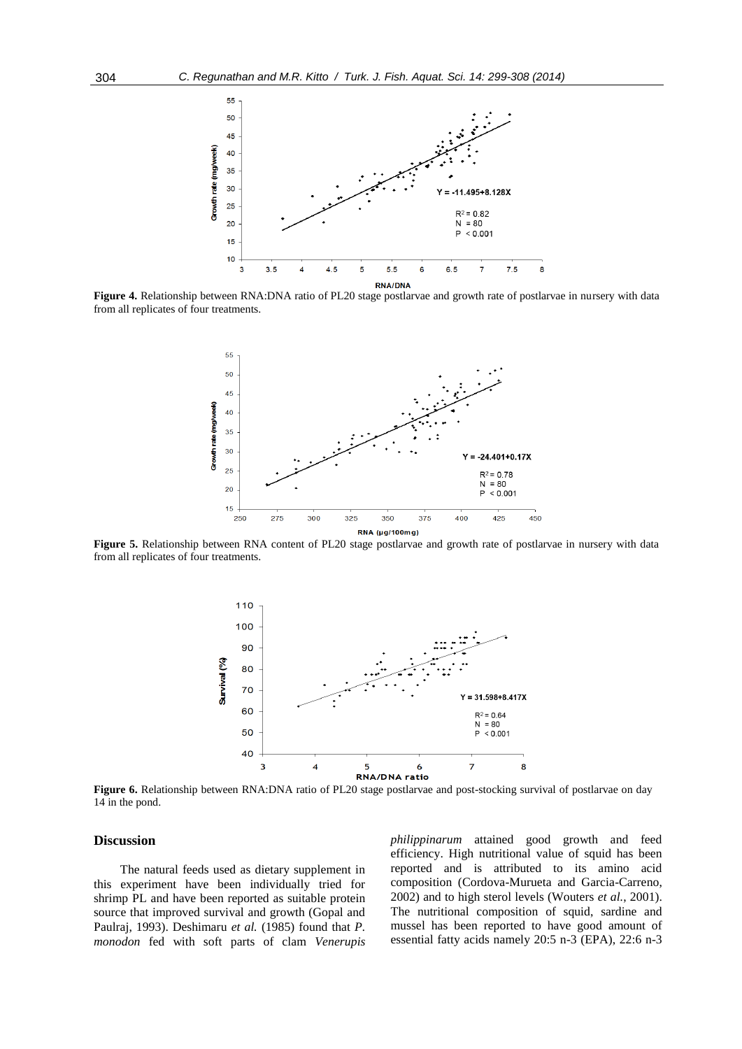

**Figure 4.** Relationship between RNA:DNA ratio of PL20 stage postlarvae and growth rate of postlarvae in nursery with data from all replicates of four treatments.



**Figure 5.** Relationship between RNA content of PL20 stage postlarvae and growth rate of postlarvae in nursery with data from all replicates of four treatments.



**Figure 6.** Relationship between RNA:DNA ratio of PL20 stage postlarvae and post-stocking survival of postlarvae on day 14 in the pond.

# **Discussion**

The natural feeds used as dietary supplement in this experiment have been individually tried for shrimp PL and have been reported as suitable protein source that improved survival and growth (Gopal and Paulraj, 1993). Deshimaru *et al.* (1985) found that *P. monodon* fed with soft parts of clam *Venerupis*  *philippinarum* attained good growth and feed efficiency. High nutritional value of squid has been reported and is attributed to its amino acid composition (Cordova-Murueta and Garcia-Carreno, 2002) and to high sterol levels (Wouters *et al.*, 2001). The nutritional composition of squid, sardine and mussel has been reported to have good amount of essential fatty acids namely 20:5 n-3 (EPA), 22:6 n-3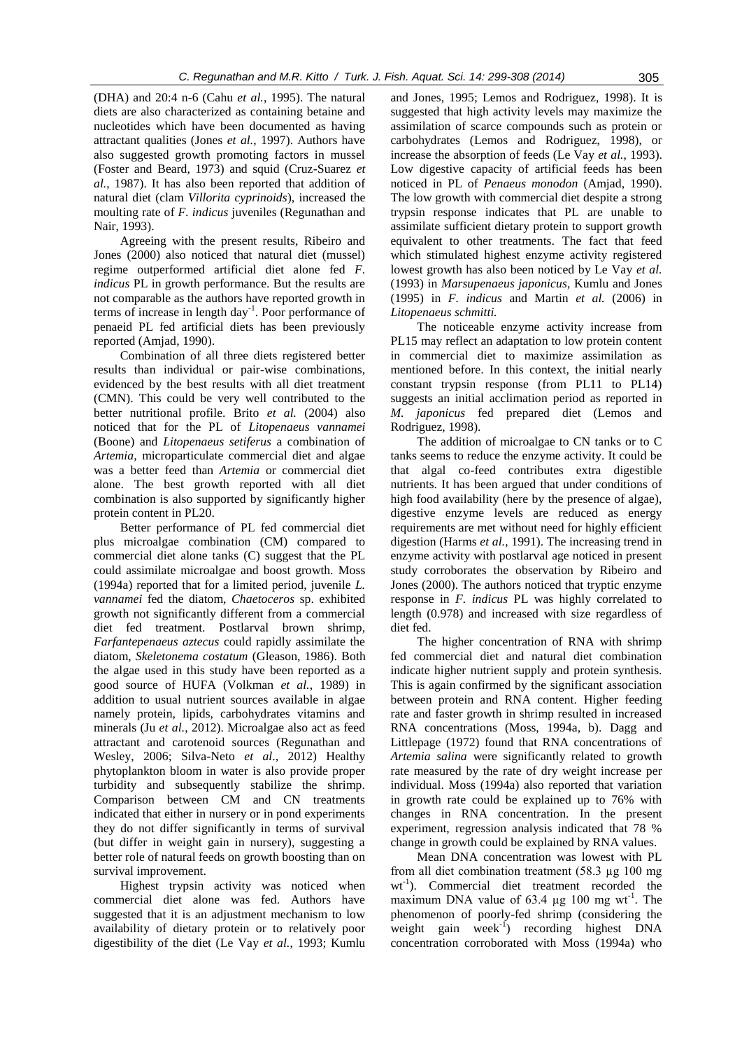(DHA) and 20:4 n-6 (Cahu *et al.*, 1995). The natural diets are also characterized as containing betaine and nucleotides which have been documented as having attractant qualities (Jones *et al.*, 1997). Authors have also suggested growth promoting factors in mussel (Foster and Beard, 1973) and squid (Cruz-Suarez *et al.*, 1987). It has also been reported that addition of natural diet (clam *Villorita cyprinoids*), increased the moulting rate of *F. indicus* juveniles (Regunathan and Nair, 1993).

Agreeing with the present results, Ribeiro and Jones (2000) also noticed that natural diet (mussel) regime outperformed artificial diet alone fed *F. indicus* PL in growth performance. But the results are not comparable as the authors have reported growth in terms of increase in length day-1 . Poor performance of penaeid PL fed artificial diets has been previously reported (Amjad, 1990).

Combination of all three diets registered better results than individual or pair-wise combinations, evidenced by the best results with all diet treatment (CMN). This could be very well contributed to the better nutritional profile. Brito *et al.* (2004) also noticed that for the PL of *Litopenaeus vannamei*  (Boone) and *Litopenaeus setiferus* a combination of *Artemia*, microparticulate commercial diet and algae was a better feed than *Artemia* or commercial diet alone. The best growth reported with all diet combination is also supported by significantly higher protein content in PL20.

Better performance of PL fed commercial diet plus microalgae combination (CM) compared to commercial diet alone tanks (C) suggest that the PL could assimilate microalgae and boost growth. Moss (1994a) reported that for a limited period, juvenile *L. vannamei* fed the diatom, *Chaetoceros* sp. exhibited growth not significantly different from a commercial diet fed treatment. Postlarval brown shrimp, *Farfantepenaeus aztecus* could rapidly assimilate the diatom*, Skeletonema costatum* (Gleason, 1986). Both the algae used in this study have been reported as a good source of HUFA (Volkman *et al.*, 1989) in addition to usual nutrient sources available in algae namely protein, lipids, carbohydrates vitamins and minerals (Ju *et al.*, 2012). Microalgae also act as feed attractant and carotenoid sources (Regunathan and Wesley, 2006; Silva-Neto *et al*., 2012) Healthy phytoplankton bloom in water is also provide proper turbidity and subsequently stabilize the shrimp. Comparison between CM and CN treatments indicated that either in nursery or in pond experiments they do not differ significantly in terms of survival (but differ in weight gain in nursery), suggesting a better role of natural feeds on growth boosting than on survival improvement.

Highest trypsin activity was noticed when commercial diet alone was fed. Authors have suggested that it is an adjustment mechanism to low availability of dietary protein or to relatively poor digestibility of the diet (Le Vay *et al.*, 1993; Kumlu

and Jones, 1995; Lemos and Rodriguez, 1998). It is suggested that high activity levels may maximize the assimilation of scarce compounds such as protein or carbohydrates (Lemos and Rodriguez, 1998), or increase the absorption of feeds (Le Vay *et al.*, 1993). Low digestive capacity of artificial feeds has been noticed in PL of *Penaeus monodon* (Amjad, 1990). The low growth with commercial diet despite a strong trypsin response indicates that PL are unable to assimilate sufficient dietary protein to support growth equivalent to other treatments. The fact that feed which stimulated highest enzyme activity registered lowest growth has also been noticed by Le Vay *et al.* (1993) in *Marsupenaeus japonicus*, Kumlu and Jones (1995) in *F. indicus* and Martin *et al.* (2006) in *Litopenaeus schmitti.* 

The noticeable enzyme activity increase from PL15 may reflect an adaptation to low protein content in commercial diet to maximize assimilation as mentioned before. In this context, the initial nearly constant trypsin response (from PL11 to PL14) suggests an initial acclimation period as reported in *M. japonicus* fed prepared diet (Lemos and Rodriguez, 1998).

The addition of microalgae to CN tanks or to C tanks seems to reduce the enzyme activity. It could be that algal co-feed contributes extra digestible nutrients. It has been argued that under conditions of high food availability (here by the presence of algae), digestive enzyme levels are reduced as energy requirements are met without need for highly efficient digestion (Harms *et al.*, 1991). The increasing trend in enzyme activity with postlarval age noticed in present study corroborates the observation by Ribeiro and Jones (2000). The authors noticed that tryptic enzyme response in *F. indicus* PL was highly correlated to length (0.978) and increased with size regardless of diet fed.

The higher concentration of RNA with shrimp fed commercial diet and natural diet combination indicate higher nutrient supply and protein synthesis. This is again confirmed by the significant association between protein and RNA content. Higher feeding rate and faster growth in shrimp resulted in increased RNA concentrations (Moss, 1994a, b). Dagg and Littlepage (1972) found that RNA concentrations of *Artemia salina* were significantly related to growth rate measured by the rate of dry weight increase per individual. Moss (1994a) also reported that variation in growth rate could be explained up to 76% with changes in RNA concentration. In the present experiment, regression analysis indicated that 78 % change in growth could be explained by RNA values.

Mean DNA concentration was lowest with PL from all diet combination treatment (58.3 µg 100 mg wt<sup>-1</sup>). Commercial diet treatment recorded the maximum DNA value of  $63.4 \mu g$  100 mg wt<sup>-1</sup>. The phenomenon of poorly-fed shrimp (considering the weight gain week $^{-1}$ ) recording highest DNA concentration corroborated with Moss (1994a) who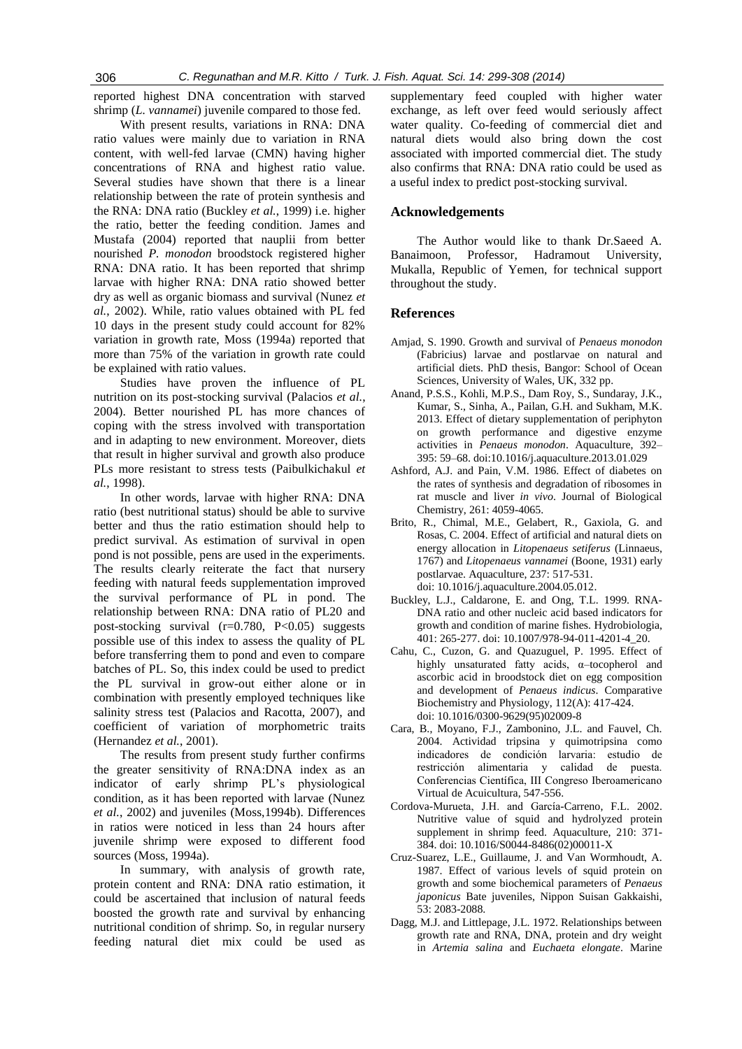reported highest DNA concentration with starved shrimp (*L. vannamei*) juvenile compared to those fed.

With present results, variations in RNA: DNA ratio values were mainly due to variation in RNA content, with well-fed larvae (CMN) having higher concentrations of RNA and highest ratio value. Several studies have shown that there is a linear relationship between the rate of protein synthesis and the RNA: DNA ratio (Buckley *et al.*, 1999) i.e. higher the ratio, better the feeding condition. James and Mustafa (2004) reported that nauplii from better nourished *P. monodon* broodstock registered higher RNA: DNA ratio. It has been reported that shrimp larvae with higher RNA: DNA ratio showed better dry as well as organic biomass and survival (Nunez *et al.*, 2002). While, ratio values obtained with PL fed 10 days in the present study could account for 82% variation in growth rate, Moss (1994a) reported that more than 75% of the variation in growth rate could be explained with ratio values.

Studies have proven the influence of PL nutrition on its post-stocking survival (Palacios *et al.*, 2004). Better nourished PL has more chances of coping with the stress involved with transportation and in adapting to new environment. Moreover, diets that result in higher survival and growth also produce PLs more resistant to stress tests (Paibulkichakul *et al.*, 1998).

In other words, larvae with higher RNA: DNA ratio (best nutritional status) should be able to survive better and thus the ratio estimation should help to predict survival. As estimation of survival in open pond is not possible, pens are used in the experiments. The results clearly reiterate the fact that nursery feeding with natural feeds supplementation improved the survival performance of PL in pond. The relationship between RNA: DNA ratio of PL20 and post-stocking survival  $(r=0.780, P<0.05)$  suggests possible use of this index to assess the quality of PL before transferring them to pond and even to compare batches of PL. So, this index could be used to predict the PL survival in grow-out either alone or in combination with presently employed techniques like salinity stress test (Palacios and Racotta, 2007), and coefficient of variation of morphometric traits (Hernandez *et al.*, 2001).

The results from present study further confirms the greater sensitivity of RNA:DNA index as an indicator of early shrimp PL's physiological condition, as it has been reported with larvae (Nunez *et al.*, 2002) and juveniles (Moss,1994b). Differences in ratios were noticed in less than 24 hours after juvenile shrimp were exposed to different food sources (Moss, 1994a).

In summary, with analysis of growth rate, protein content and RNA: DNA ratio estimation, it could be ascertained that inclusion of natural feeds boosted the growth rate and survival by enhancing nutritional condition of shrimp. So, in regular nursery feeding natural diet mix could be used as supplementary feed coupled with higher water exchange, as left over feed would seriously affect water quality. Co-feeding of commercial diet and natural diets would also bring down the cost associated with imported commercial diet. The study also confirms that RNA: DNA ratio could be used as a useful index to predict post-stocking survival.

# **Acknowledgements**

The Author would like to thank Dr.Saeed A. Banaimoon, Professor, Hadramout University, Mukalla, Republic of Yemen, for technical support throughout the study.

# **References**

- Amjad, S. 1990. Growth and survival of *Penaeus monodon* (Fabricius) larvae and postlarvae on natural and artificial diets. PhD thesis, Bangor: School of Ocean Sciences, University of Wales, UK, 332 pp.
- Anand, P.S.S., Kohli, M.P.S., Dam Roy, S., Sundaray, J.K., Kumar, S., Sinha, A., Pailan, G.H. and Sukham, M.K. 2013. Effect of dietary supplementation of periphyton on growth performance and digestive enzyme activities in *Penaeus monodon*. Aquaculture, 392– 395: 59–68. doi:10.1016/j.aquaculture.2013.01.029
- Ashford, A.J. and Pain, V.M. 1986. Effect of diabetes on the rates of synthesis and degradation of ribosomes in rat muscle and liver *in vivo*. Journal of Biological Chemistry, 261: 4059-4065.
- Brito, R., Chimal, M.E., Gelabert, R., Gaxiola, G. and Rosas, C. 2004. Effect of artificial and natural diets on energy allocation in *Litopenaeus setiferus* (Linnaeus, 1767) and *Litopenaeus vannamei* (Boone, 1931) early postlarvae. Aquaculture, 237: 517-531. doi: 10.1016/j.aquaculture.2004.05.012.
- Buckley, L.J., Caldarone, E. and Ong, T.L. 1999. RNA-DNA ratio and other nucleic acid based indicators for growth and condition of marine fishes. Hydrobiologia, 401: 265-277. doi: 10.1007/978-94-011-4201-4\_20.
- Cahu, C., Cuzon, G. and Quazuguel, P. 1995. Effect of highly unsaturated fatty acids, α–tocopherol and ascorbic acid in broodstock diet on egg composition and development of *Penaeus indicus*. Comparative Biochemistry and Physiology, 112(A): 417-424. doi: 10.1016/0300-9629(95)02009-8
- Cara, B., Moyano, F.J., Zambonino, J.L. and Fauvel, Ch. 2004. Actividad tripsina y quimotripsina como indicadores de condición larvaria: estudio de restricción alimentaria y calidad de puesta. Conferencias Científica, III Congreso Iberoamericano Virtual de Acuicultura, 547-556.
- Cordova-Murueta, J.H. and García-Carreno, F.L. 2002. Nutritive value of squid and hydrolyzed protein supplement in shrimp feed. Aquaculture, 210: 371- 384. doi: 10.1016/S0044-8486(02)00011-X
- Cruz-Suarez, L.E., Guillaume, J. and Van Wormhoudt, A. 1987. Effect of various levels of squid protein on growth and some biochemical parameters of *Penaeus japonicus* Bate juveniles, Nippon Suisan Gakkaishi, 53: 2083-2088.
- Dagg, M.J. and Littlepage, J.L. 1972. Relationships between growth rate and RNA, DNA, protein and dry weight in *Artemia salina* and *Euchaeta elongate*. Marine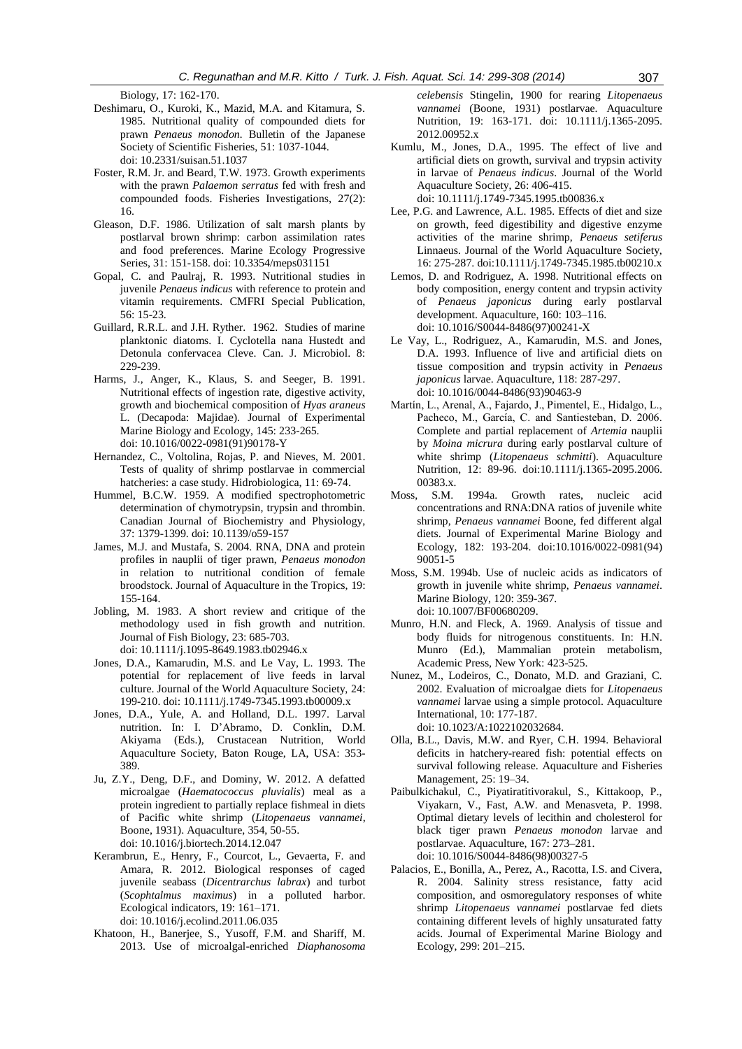Biology, 17: 162-170.

- Deshimaru, O., Kuroki, K., Mazid, M.A. and Kitamura, S. 1985. Nutritional quality of compounded diets for prawn *Penaeus monodon.* Bulletin of the Japanese Society of Scientific Fisheries, 51: 1037-1044. doi: 10.2331/suisan.51.1037
- Foster, R.M. Jr. and Beard, T.W. 1973. Growth experiments with the prawn *Palaemon serratus* fed with fresh and compounded foods. Fisheries Investigations, 27(2): 16.
- Gleason, D.F. 1986. Utilization of salt marsh plants by postlarval brown shrimp: carbon assimilation rates and food preferences. Marine Ecology Progressive Series, 31: 151-158. doi: 10.3354/meps031151
- Gopal, C. and Paulraj, R. 1993. Nutritional studies in juvenile *Penaeus indicus* with reference to protein and vitamin requirements. CMFRI Special Publication, 56: 15-23.
- Guillard, R.R.L. and J.H. Ryther. 1962. Studies of marine planktonic diatoms. I. Cyclotella nana Hustedt and Detonula confervacea Cleve. Can. J. Microbiol. 8: 229-239.
- Harms, J., Anger, K., Klaus, S. and Seeger, B. 1991. Nutritional effects of ingestion rate, digestive activity, growth and biochemical composition of *Hyas araneus*  L. (Decapoda: Majidae). Journal of Experimental Marine Biology and Ecology, 145: 233-265. doi: 10.1016/0022-0981(91)90178-Y
- Hernandez, C., Voltolina, Rojas, P. and Nieves, M. 2001. Tests of quality of shrimp postlarvae in commercial hatcheries: a case study. Hidrobiologica, 11: 69-74.
- Hummel, B.C.W. 1959. A modified spectrophotometric determination of chymotrypsin, trypsin and thrombin. Canadian Journal of Biochemistry and Physiology, 37: 1379-1399. doi: 10.1139/o59-157
- James, M.J. and Mustafa, S. 2004. RNA, DNA and protein profiles in nauplii of tiger prawn, *Penaeus monodon*  in relation to nutritional condition of female broodstock. Journal of Aquaculture in the Tropics, 19: 155-164.
- Jobling, M. 1983. A short review and critique of the methodology used in fish growth and nutrition. Journal of Fish Biology, 23: 685-703. doi: 10.1111/j.1095-8649.1983.tb02946.x
- Jones, D.A., Kamarudin, M.S. and Le Vay, L. 1993. The potential for replacement of live feeds in larval culture. Journal of the World Aquaculture Society, 24: 199-210. doi: 10.1111/j.1749-7345.1993.tb00009.x
- Jones, D.A., Yule, A. and Holland, D.L. 1997. Larval nutrition. In: I. D'Abramo, D. Conklin, D.M. Akiyama (Eds.), Crustacean Nutrition, World Aquaculture Society, Baton Rouge, LA, USA: 353- 389.
- Ju, Z.Y., Deng, D.F., and Dominy, W. 2012. A defatted microalgae (*Haematococcus pluvialis*) meal as a protein ingredient to partially replace fishmeal in diets of Pacific white shrimp (*Litopenaeus vannamei*, Boone, 1931). Aquaculture, 354, 50-55. doi: 10.1016/j.biortech.2014.12.047
- Kerambrun, E., Henry, F., Courcot, L., Gevaerta, F. and Amara, R. 2012. Biological responses of caged juvenile seabass (*Dicentrarchus labrax*) and turbot (*Scophtalmus maximus*) in a polluted harbor. Ecological indicators, 19: 161–171. doi: 10.1016/j.ecolind.2011.06.035
- Khatoon, H., Banerjee, S., Yusoff, F.M. and Shariff, M. 2013. Use of microalgal-enriched *Diaphanosoma*

*celebensis* Stingelin, 1900 for rearing *Litopenaeus vannamei* (Boone, 1931) postlarvae. Aquaculture Nutrition, 19: 163-171. doi: 10.1111/j.1365-2095. 2012.00952.x

- Kumlu, M., Jones, D.A., 1995. The effect of live and artificial diets on growth, survival and trypsin activity in larvae of *Penaeus indicus*. Journal of the World Aquaculture Society, 26: 406-415. doi: 10.1111/j.1749-7345.1995.tb00836.x
- Lee, P.G. and Lawrence, A.L. 1985. Effects of diet and size on growth, feed digestibility and digestive enzyme activities of the marine shrimp, *Penaeus setiferus* Linnaeus. Journal of the World Aquaculture Society, 16: 275-287. doi:10.1111/j.1749-7345.1985.tb00210.x
- Lemos, D. and Rodriguez, A. 1998. Nutritional effects on body composition, energy content and trypsin activity of *Penaeus japonicus* during early postlarval development. Aquaculture, 160: 103–116. doi: 10.1016/S0044-8486(97)00241-X
- Le Vay, L., Rodriguez, A., Kamarudin, M.S. and Jones, D.A. 1993. Influence of live and artificial diets on tissue composition and trypsin activity in *Penaeus japonicus* larvae. Aquaculture, 118: 287-297. doi: 10.1016/0044-8486(93)90463-9
- Martín, L., Arenal, A., Fajardo, J., Pimentel, E., Hidalgo, L., Pacheco, M., García, C. and Santiesteban, D. 2006. Complete and partial replacement of *Artemia* nauplii by *Moina micrura* during early postlarval culture of white shrimp (*Litopenaeus schmitti*). Aquaculture Nutrition, 12: 89-96. doi:10.1111/j.1365-2095.2006. 00383.x.
- Moss, S.M. 1994a. Growth rates, nucleic acid concentrations and RNA:DNA ratios of juvenile white shrimp, *Penaeus vannamei* Boone, fed different algal diets. Journal of Experimental Marine Biology and Ecology, 182: 193-204. doi:10.1016/0022-0981(94) 90051-5
- Moss, S.M. 1994b. Use of nucleic acids as indicators of growth in juvenile white shrimp, *Penaeus vannamei*. Marine Biology, 120: 359-367. doi: 10.1007/BF00680209.
- Munro, H.N. and Fleck, A. 1969. Analysis of tissue and body fluids for nitrogenous constituents. In: H.N. Munro (Ed.), Mammalian protein metabolism, Academic Press, New York: 423-525.
- Nunez, M., Lodeiros, C., Donato, M.D. and Graziani, C. 2002. Evaluation of microalgae diets for *Litopenaeus vannamei* larvae using a simple protocol. Aquaculture International, 10: 177-187. doi: 10.1023/A:1022102032684.
- Olla, B.L., Davis, M.W. and Ryer, C.H. 1994. Behavioral deficits in hatchery-reared fish: potential effects on survival following release. Aquaculture and Fisheries Management, 25: 19–34.
- Paibulkichakul, C., Piyatiratitivorakul, S., Kittakoop, P., Viyakarn, V., Fast, A.W. and Menasveta, P. 1998. Optimal dietary levels of lecithin and cholesterol for black tiger prawn *Penaeus monodon* larvae and postlarvae. Aquaculture, 167: 273–281. doi: 10.1016/S0044-8486(98)00327-5
- Palacios, E., Bonilla, A., Perez, A., Racotta, I.S. and Civera, R. 2004. Salinity stress resistance, fatty acid composition, and osmoregulatory responses of white shrimp *Litopenaeus vannamei* postlarvae fed diets containing different levels of highly unsaturated fatty acids. Journal of Experimental Marine Biology and Ecology, 299: 201–215.